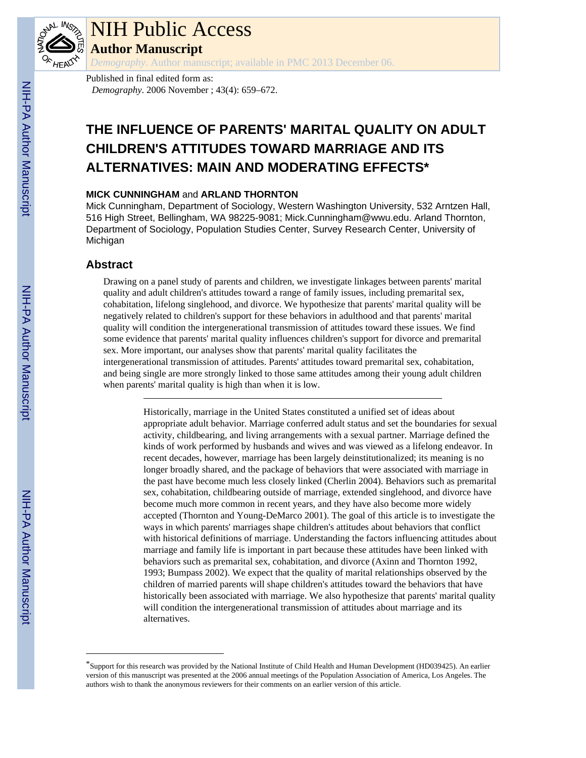

# NIH Public Access

**Author Manuscript**

*Demography*. Author manuscript; available in PMC 2013 December 06.

Published in final edited form as: *Demography*. 2006 November ; 43(4): 659–672.

## **THE INFLUENCE OF PARENTS' MARITAL QUALITY ON ADULT CHILDREN'S ATTITUDES TOWARD MARRIAGE AND ITS ALTERNATIVES: MAIN AND MODERATING EFFECTS\***

## **MICK CUNNINGHAM** and **ARLAND THORNTON**

Mick Cunningham, Department of Sociology, Western Washington University, 532 Arntzen Hall, 516 High Street, Bellingham, WA 98225-9081; Mick.Cunningham@wwu.edu. Arland Thornton, Department of Sociology, Population Studies Center, Survey Research Center, University of Michigan

## **Abstract**

Drawing on a panel study of parents and children, we investigate linkages between parents' marital quality and adult children's attitudes toward a range of family issues, including premarital sex, cohabitation, lifelong singlehood, and divorce. We hypothesize that parents' marital quality will be negatively related to children's support for these behaviors in adulthood and that parents' marital quality will condition the intergenerational transmission of attitudes toward these issues. We find some evidence that parents' marital quality influences children's support for divorce and premarital sex. More important, our analyses show that parents' marital quality facilitates the intergenerational transmission of attitudes. Parents' attitudes toward premarital sex, cohabitation, and being single are more strongly linked to those same attitudes among their young adult children when parents' marital quality is high than when it is low.

> Historically, marriage in the United States constituted a unified set of ideas about appropriate adult behavior. Marriage conferred adult status and set the boundaries for sexual activity, childbearing, and living arrangements with a sexual partner. Marriage defined the kinds of work performed by husbands and wives and was viewed as a lifelong endeavor. In recent decades, however, marriage has been largely deinstitutionalized; its meaning is no longer broadly shared, and the package of behaviors that were associated with marriage in the past have become much less closely linked (Cherlin 2004). Behaviors such as premarital sex, cohabitation, childbearing outside of marriage, extended singlehood, and divorce have become much more common in recent years, and they have also become more widely accepted (Thornton and Young-DeMarco 2001). The goal of this article is to investigate the ways in which parents' marriages shape children's attitudes about behaviors that conflict with historical definitions of marriage. Understanding the factors influencing attitudes about marriage and family life is important in part because these attitudes have been linked with behaviors such as premarital sex, cohabitation, and divorce (Axinn and Thornton 1992, 1993; Bumpass 2002). We expect that the quality of marital relationships observed by the children of married parents will shape children's attitudes toward the behaviors that have historically been associated with marriage. We also hypothesize that parents' marital quality will condition the intergenerational transmission of attitudes about marriage and its alternatives.

<sup>\*</sup>Support for this research was provided by the National Institute of Child Health and Human Development (HD039425). An earlier version of this manuscript was presented at the 2006 annual meetings of the Population Association of America, Los Angeles. The authors wish to thank the anonymous reviewers for their comments on an earlier version of this article.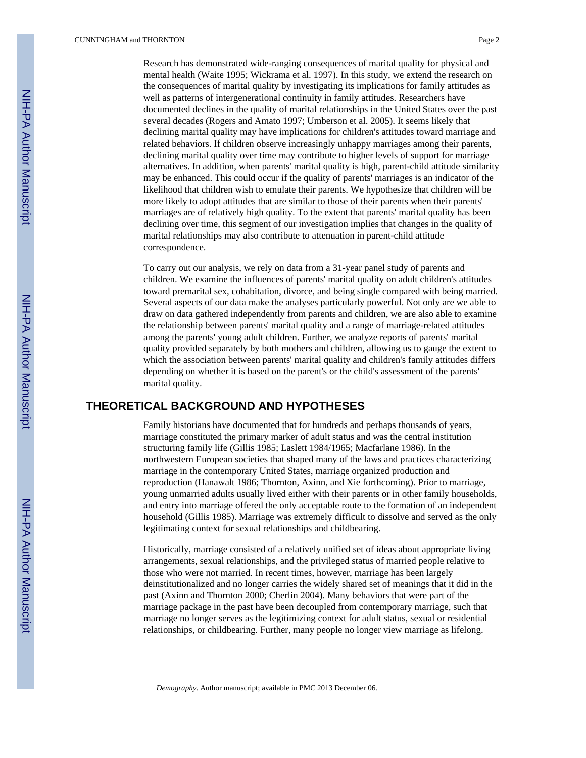Research has demonstrated wide-ranging consequences of marital quality for physical and mental health (Waite 1995; Wickrama et al. 1997). In this study, we extend the research on the consequences of marital quality by investigating its implications for family attitudes as well as patterns of intergenerational continuity in family attitudes. Researchers have documented declines in the quality of marital relationships in the United States over the past several decades (Rogers and Amato 1997; Umberson et al. 2005). It seems likely that declining marital quality may have implications for children's attitudes toward marriage and related behaviors. If children observe increasingly unhappy marriages among their parents, declining marital quality over time may contribute to higher levels of support for marriage alternatives. In addition, when parents' marital quality is high, parent-child attitude similarity may be enhanced. This could occur if the quality of parents' marriages is an indicator of the likelihood that children wish to emulate their parents. We hypothesize that children will be more likely to adopt attitudes that are similar to those of their parents when their parents' marriages are of relatively high quality. To the extent that parents' marital quality has been declining over time, this segment of our investigation implies that changes in the quality of marital relationships may also contribute to attenuation in parent-child attitude correspondence.

To carry out our analysis, we rely on data from a 31-year panel study of parents and children. We examine the influences of parents' marital quality on adult children's attitudes toward premarital sex, cohabitation, divorce, and being single compared with being married. Several aspects of our data make the analyses particularly powerful. Not only are we able to draw on data gathered independently from parents and children, we are also able to examine the relationship between parents' marital quality and a range of marriage-related attitudes among the parents' young adult children. Further, we analyze reports of parents' marital quality provided separately by both mothers and children, allowing us to gauge the extent to which the association between parents' marital quality and children's family attitudes differs depending on whether it is based on the parent's or the child's assessment of the parents' marital quality.

## **THEORETICAL BACKGROUND AND HYPOTHESES**

Family historians have documented that for hundreds and perhaps thousands of years, marriage constituted the primary marker of adult status and was the central institution structuring family life (Gillis 1985; Laslett 1984/1965; Macfarlane 1986). In the northwestern European societies that shaped many of the laws and practices characterizing marriage in the contemporary United States, marriage organized production and reproduction (Hanawalt 1986; Thornton, Axinn, and Xie forthcoming). Prior to marriage, young unmarried adults usually lived either with their parents or in other family households, and entry into marriage offered the only acceptable route to the formation of an independent household (Gillis 1985). Marriage was extremely difficult to dissolve and served as the only legitimating context for sexual relationships and childbearing.

Historically, marriage consisted of a relatively unified set of ideas about appropriate living arrangements, sexual relationships, and the privileged status of married people relative to those who were not married. In recent times, however, marriage has been largely deinstitutionalized and no longer carries the widely shared set of meanings that it did in the past (Axinn and Thornton 2000; Cherlin 2004). Many behaviors that were part of the marriage package in the past have been decoupled from contemporary marriage, such that marriage no longer serves as the legitimizing context for adult status, sexual or residential relationships, or childbearing. Further, many people no longer view marriage as lifelong.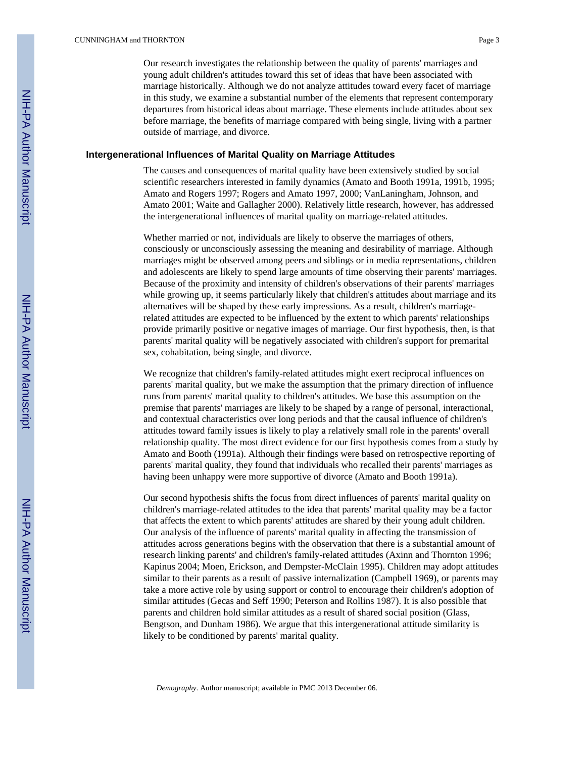Our research investigates the relationship between the quality of parents' marriages and young adult children's attitudes toward this set of ideas that have been associated with marriage historically. Although we do not analyze attitudes toward every facet of marriage in this study, we examine a substantial number of the elements that represent contemporary departures from historical ideas about marriage. These elements include attitudes about sex before marriage, the benefits of marriage compared with being single, living with a partner outside of marriage, and divorce.

### **Intergenerational Influences of Marital Quality on Marriage Attitudes**

The causes and consequences of marital quality have been extensively studied by social scientific researchers interested in family dynamics (Amato and Booth 1991a, 1991b, 1995; Amato and Rogers 1997; Rogers and Amato 1997, 2000; VanLaningham, Johnson, and Amato 2001; Waite and Gallagher 2000). Relatively little research, however, has addressed the intergenerational influences of marital quality on marriage-related attitudes.

Whether married or not, individuals are likely to observe the marriages of others, consciously or unconsciously assessing the meaning and desirability of marriage. Although marriages might be observed among peers and siblings or in media representations, children and adolescents are likely to spend large amounts of time observing their parents' marriages. Because of the proximity and intensity of children's observations of their parents' marriages while growing up, it seems particularly likely that children's attitudes about marriage and its alternatives will be shaped by these early impressions. As a result, children's marriagerelated attitudes are expected to be influenced by the extent to which parents' relationships provide primarily positive or negative images of marriage. Our first hypothesis, then, is that parents' marital quality will be negatively associated with children's support for premarital sex, cohabitation, being single, and divorce.

We recognize that children's family-related attitudes might exert reciprocal influences on parents' marital quality, but we make the assumption that the primary direction of influence runs from parents' marital quality to children's attitudes. We base this assumption on the premise that parents' marriages are likely to be shaped by a range of personal, interactional, and contextual characteristics over long periods and that the causal influence of children's attitudes toward family issues is likely to play a relatively small role in the parents' overall relationship quality. The most direct evidence for our first hypothesis comes from a study by Amato and Booth (1991a). Although their findings were based on retrospective reporting of parents' marital quality, they found that individuals who recalled their parents' marriages as having been unhappy were more supportive of divorce (Amato and Booth 1991a).

Our second hypothesis shifts the focus from direct influences of parents' marital quality on children's marriage-related attitudes to the idea that parents' marital quality may be a factor that affects the extent to which parents' attitudes are shared by their young adult children. Our analysis of the influence of parents' marital quality in affecting the transmission of attitudes across generations begins with the observation that there is a substantial amount of research linking parents' and children's family-related attitudes (Axinn and Thornton 1996; Kapinus 2004; Moen, Erickson, and Dempster-McClain 1995). Children may adopt attitudes similar to their parents as a result of passive internalization (Campbell 1969), or parents may take a more active role by using support or control to encourage their children's adoption of similar attitudes (Gecas and Seff 1990; Peterson and Rollins 1987). It is also possible that parents and children hold similar attitudes as a result of shared social position (Glass, Bengtson, and Dunham 1986). We argue that this intergenerational attitude similarity is likely to be conditioned by parents' marital quality.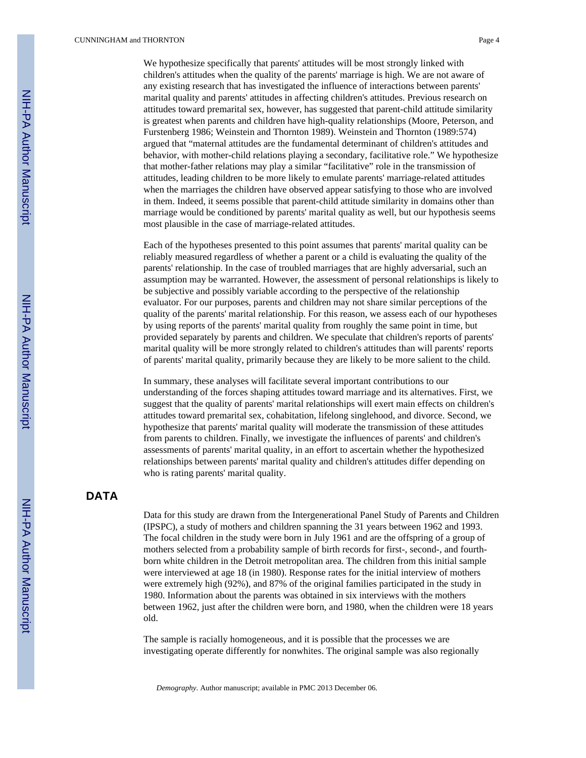We hypothesize specifically that parents' attitudes will be most strongly linked with children's attitudes when the quality of the parents' marriage is high. We are not aware of any existing research that has investigated the influence of interactions between parents' marital quality and parents' attitudes in affecting children's attitudes. Previous research on attitudes toward premarital sex, however, has suggested that parent-child attitude similarity is greatest when parents and children have high-quality relationships (Moore, Peterson, and Furstenberg 1986; Weinstein and Thornton 1989). Weinstein and Thornton (1989:574) argued that "maternal attitudes are the fundamental determinant of children's attitudes and behavior, with mother-child relations playing a secondary, facilitative role." We hypothesize that mother-father relations may play a similar "facilitative" role in the transmission of attitudes, leading children to be more likely to emulate parents' marriage-related attitudes when the marriages the children have observed appear satisfying to those who are involved in them. Indeed, it seems possible that parent-child attitude similarity in domains other than marriage would be conditioned by parents' marital quality as well, but our hypothesis seems most plausible in the case of marriage-related attitudes.

Each of the hypotheses presented to this point assumes that parents' marital quality can be reliably measured regardless of whether a parent or a child is evaluating the quality of the parents' relationship. In the case of troubled marriages that are highly adversarial, such an assumption may be warranted. However, the assessment of personal relationships is likely to be subjective and possibly variable according to the perspective of the relationship evaluator. For our purposes, parents and children may not share similar perceptions of the quality of the parents' marital relationship. For this reason, we assess each of our hypotheses by using reports of the parents' marital quality from roughly the same point in time, but provided separately by parents and children. We speculate that children's reports of parents' marital quality will be more strongly related to children's attitudes than will parents' reports of parents' marital quality, primarily because they are likely to be more salient to the child.

In summary, these analyses will facilitate several important contributions to our understanding of the forces shaping attitudes toward marriage and its alternatives. First, we suggest that the quality of parents' marital relationships will exert main effects on children's attitudes toward premarital sex, cohabitation, lifelong singlehood, and divorce. Second, we hypothesize that parents' marital quality will moderate the transmission of these attitudes from parents to children. Finally, we investigate the influences of parents' and children's assessments of parents' marital quality, in an effort to ascertain whether the hypothesized relationships between parents' marital quality and children's attitudes differ depending on who is rating parents' marital quality.

## **DATA**

Data for this study are drawn from the Intergenerational Panel Study of Parents and Children (IPSPC), a study of mothers and children spanning the 31 years between 1962 and 1993. The focal children in the study were born in July 1961 and are the offspring of a group of mothers selected from a probability sample of birth records for first-, second-, and fourthborn white children in the Detroit metropolitan area. The children from this initial sample were interviewed at age 18 (in 1980). Response rates for the initial interview of mothers were extremely high (92%), and 87% of the original families participated in the study in 1980. Information about the parents was obtained in six interviews with the mothers between 1962, just after the children were born, and 1980, when the children were 18 years old.

The sample is racially homogeneous, and it is possible that the processes we are investigating operate differently for nonwhites. The original sample was also regionally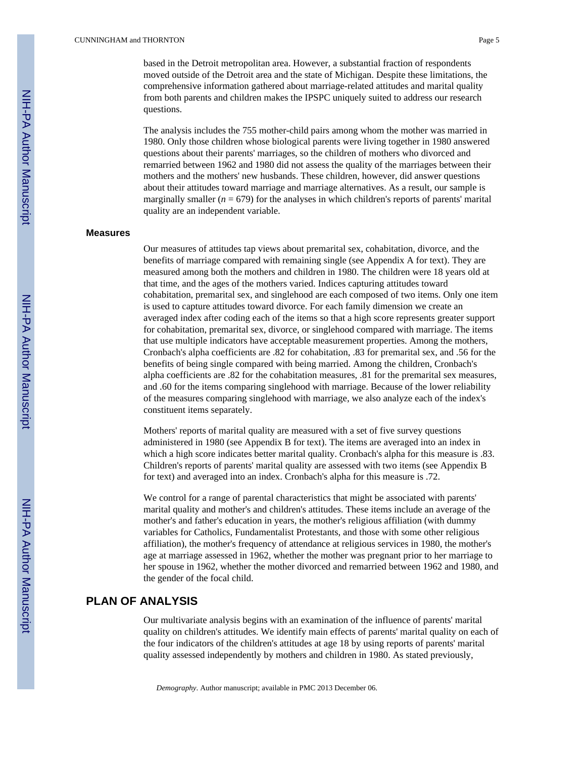based in the Detroit metropolitan area. However, a substantial fraction of respondents moved outside of the Detroit area and the state of Michigan. Despite these limitations, the comprehensive information gathered about marriage-related attitudes and marital quality from both parents and children makes the IPSPC uniquely suited to address our research questions.

The analysis includes the 755 mother-child pairs among whom the mother was married in 1980. Only those children whose biological parents were living together in 1980 answered questions about their parents' marriages, so the children of mothers who divorced and remarried between 1962 and 1980 did not assess the quality of the marriages between their mothers and the mothers' new husbands. These children, however, did answer questions about their attitudes toward marriage and marriage alternatives. As a result, our sample is marginally smaller  $(n = 679)$  for the analyses in which children's reports of parents' marital quality are an independent variable.

### **Measures**

Our measures of attitudes tap views about premarital sex, cohabitation, divorce, and the benefits of marriage compared with remaining single (see Appendix A for text). They are measured among both the mothers and children in 1980. The children were 18 years old at that time, and the ages of the mothers varied. Indices capturing attitudes toward cohabitation, premarital sex, and singlehood are each composed of two items. Only one item is used to capture attitudes toward divorce. For each family dimension we create an averaged index after coding each of the items so that a high score represents greater support for cohabitation, premarital sex, divorce, or singlehood compared with marriage. The items that use multiple indicators have acceptable measurement properties. Among the mothers, Cronbach's alpha coefficients are .82 for cohabitation, .83 for premarital sex, and .56 for the benefits of being single compared with being married. Among the children, Cronbach's alpha coefficients are .82 for the cohabitation measures, .81 for the premarital sex measures, and .60 for the items comparing singlehood with marriage. Because of the lower reliability of the measures comparing singlehood with marriage, we also analyze each of the index's constituent items separately.

Mothers' reports of marital quality are measured with a set of five survey questions administered in 1980 (see Appendix B for text). The items are averaged into an index in which a high score indicates better marital quality. Cronbach's alpha for this measure is .83. Children's reports of parents' marital quality are assessed with two items (see Appendix B for text) and averaged into an index. Cronbach's alpha for this measure is .72.

We control for a range of parental characteristics that might be associated with parents' marital quality and mother's and children's attitudes. These items include an average of the mother's and father's education in years, the mother's religious affiliation (with dummy variables for Catholics, Fundamentalist Protestants, and those with some other religious affiliation), the mother's frequency of attendance at religious services in 1980, the mother's age at marriage assessed in 1962, whether the mother was pregnant prior to her marriage to her spouse in 1962, whether the mother divorced and remarried between 1962 and 1980, and the gender of the focal child.

## **PLAN OF ANALYSIS**

Our multivariate analysis begins with an examination of the influence of parents' marital quality on children's attitudes. We identify main effects of parents' marital quality on each of the four indicators of the children's attitudes at age 18 by using reports of parents' marital quality assessed independently by mothers and children in 1980. As stated previously,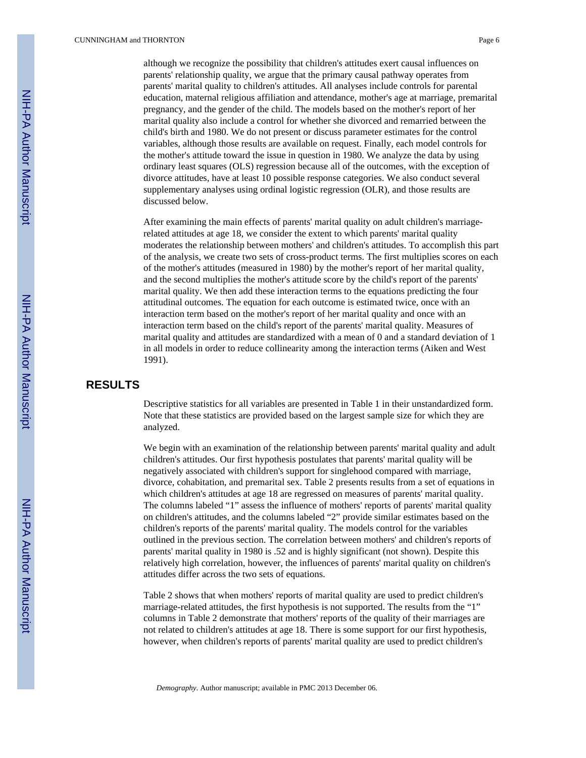although we recognize the possibility that children's attitudes exert causal influences on parents' relationship quality, we argue that the primary causal pathway operates from parents' marital quality to children's attitudes. All analyses include controls for parental education, maternal religious affiliation and attendance, mother's age at marriage, premarital pregnancy, and the gender of the child. The models based on the mother's report of her marital quality also include a control for whether she divorced and remarried between the child's birth and 1980. We do not present or discuss parameter estimates for the control variables, although those results are available on request. Finally, each model controls for the mother's attitude toward the issue in question in 1980. We analyze the data by using ordinary least squares (OLS) regression because all of the outcomes, with the exception of divorce attitudes, have at least 10 possible response categories. We also conduct several supplementary analyses using ordinal logistic regression (OLR), and those results are discussed below.

After examining the main effects of parents' marital quality on adult children's marriagerelated attitudes at age 18, we consider the extent to which parents' marital quality moderates the relationship between mothers' and children's attitudes. To accomplish this part of the analysis, we create two sets of cross-product terms. The first multiplies scores on each of the mother's attitudes (measured in 1980) by the mother's report of her marital quality, and the second multiplies the mother's attitude score by the child's report of the parents' marital quality. We then add these interaction terms to the equations predicting the four attitudinal outcomes. The equation for each outcome is estimated twice, once with an interaction term based on the mother's report of her marital quality and once with an interaction term based on the child's report of the parents' marital quality. Measures of marital quality and attitudes are standardized with a mean of 0 and a standard deviation of 1 in all models in order to reduce collinearity among the interaction terms (Aiken and West 1991).

## **RESULTS**

Descriptive statistics for all variables are presented in Table 1 in their unstandardized form. Note that these statistics are provided based on the largest sample size for which they are analyzed.

We begin with an examination of the relationship between parents' marital quality and adult children's attitudes. Our first hypothesis postulates that parents' marital quality will be negatively associated with children's support for singlehood compared with marriage, divorce, cohabitation, and premarital sex. Table 2 presents results from a set of equations in which children's attitudes at age 18 are regressed on measures of parents' marital quality. The columns labeled "1" assess the influence of mothers' reports of parents' marital quality on children's attitudes, and the columns labeled "2" provide similar estimates based on the children's reports of the parents' marital quality. The models control for the variables outlined in the previous section. The correlation between mothers' and children's reports of parents' marital quality in 1980 is .52 and is highly significant (not shown). Despite this relatively high correlation, however, the influences of parents' marital quality on children's attitudes differ across the two sets of equations.

Table 2 shows that when mothers' reports of marital quality are used to predict children's marriage-related attitudes, the first hypothesis is not supported. The results from the "1" columns in Table 2 demonstrate that mothers' reports of the quality of their marriages are not related to children's attitudes at age 18. There is some support for our first hypothesis, however, when children's reports of parents' marital quality are used to predict children's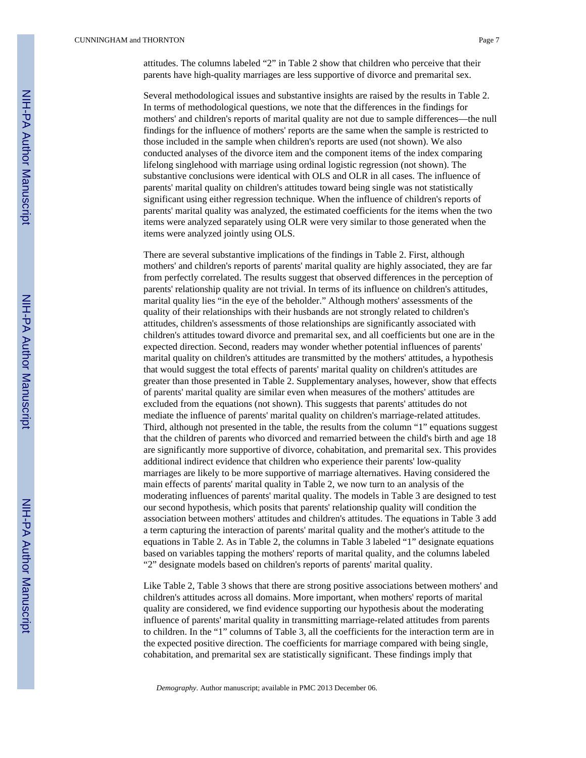Several methodological issues and substantive insights are raised by the results in Table 2. In terms of methodological questions, we note that the differences in the findings for mothers' and children's reports of marital quality are not due to sample differences—the null findings for the influence of mothers' reports are the same when the sample is restricted to those included in the sample when children's reports are used (not shown). We also conducted analyses of the divorce item and the component items of the index comparing lifelong singlehood with marriage using ordinal logistic regression (not shown). The substantive conclusions were identical with OLS and OLR in all cases. The influence of parents' marital quality on children's attitudes toward being single was not statistically significant using either regression technique. When the influence of children's reports of parents' marital quality was analyzed, the estimated coefficients for the items when the two items were analyzed separately using OLR were very similar to those generated when the items were analyzed jointly using OLS.

There are several substantive implications of the findings in Table 2. First, although mothers' and children's reports of parents' marital quality are highly associated, they are far from perfectly correlated. The results suggest that observed differences in the perception of parents' relationship quality are not trivial. In terms of its influence on children's attitudes, marital quality lies "in the eye of the beholder." Although mothers' assessments of the quality of their relationships with their husbands are not strongly related to children's attitudes, children's assessments of those relationships are significantly associated with children's attitudes toward divorce and premarital sex, and all coefficients but one are in the expected direction. Second, readers may wonder whether potential influences of parents' marital quality on children's attitudes are transmitted by the mothers' attitudes, a hypothesis that would suggest the total effects of parents' marital quality on children's attitudes are greater than those presented in Table 2. Supplementary analyses, however, show that effects of parents' marital quality are similar even when measures of the mothers' attitudes are excluded from the equations (not shown). This suggests that parents' attitudes do not mediate the influence of parents' marital quality on children's marriage-related attitudes. Third, although not presented in the table, the results from the column "1" equations suggest that the children of parents who divorced and remarried between the child's birth and age 18 are significantly more supportive of divorce, cohabitation, and premarital sex. This provides additional indirect evidence that children who experience their parents' low-quality marriages are likely to be more supportive of marriage alternatives. Having considered the main effects of parents' marital quality in Table 2, we now turn to an analysis of the moderating influences of parents' marital quality. The models in Table 3 are designed to test our second hypothesis, which posits that parents' relationship quality will condition the association between mothers' attitudes and children's attitudes. The equations in Table 3 add a term capturing the interaction of parents' marital quality and the mother's attitude to the equations in Table 2. As in Table 2, the columns in Table 3 labeled "1" designate equations based on variables tapping the mothers' reports of marital quality, and the columns labeled "2" designate models based on children's reports of parents' marital quality.

Like Table 2, Table 3 shows that there are strong positive associations between mothers' and children's attitudes across all domains. More important, when mothers' reports of marital quality are considered, we find evidence supporting our hypothesis about the moderating influence of parents' marital quality in transmitting marriage-related attitudes from parents to children. In the "1" columns of Table 3, all the coefficients for the interaction term are in the expected positive direction. The coefficients for marriage compared with being single, cohabitation, and premarital sex are statistically significant. These findings imply that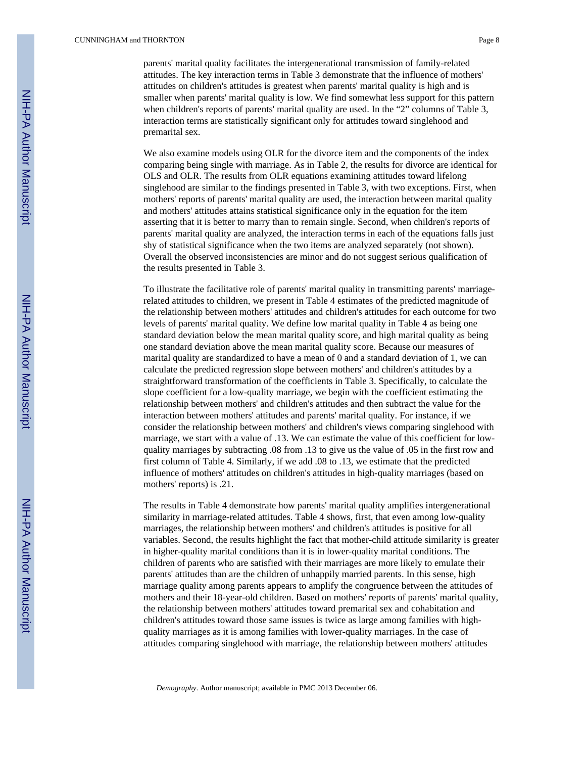#### CUNNINGHAM and THORNTON Page 8

parents' marital quality facilitates the intergenerational transmission of family-related attitudes. The key interaction terms in Table 3 demonstrate that the influence of mothers' attitudes on children's attitudes is greatest when parents' marital quality is high and is smaller when parents' marital quality is low. We find somewhat less support for this pattern when children's reports of parents' marital quality are used. In the "2" columns of Table 3, interaction terms are statistically significant only for attitudes toward singlehood and premarital sex.

We also examine models using OLR for the divorce item and the components of the index comparing being single with marriage. As in Table 2, the results for divorce are identical for OLS and OLR. The results from OLR equations examining attitudes toward lifelong singlehood are similar to the findings presented in Table 3, with two exceptions. First, when mothers' reports of parents' marital quality are used, the interaction between marital quality and mothers' attitudes attains statistical significance only in the equation for the item asserting that it is better to marry than to remain single. Second, when children's reports of parents' marital quality are analyzed, the interaction terms in each of the equations falls just shy of statistical significance when the two items are analyzed separately (not shown). Overall the observed inconsistencies are minor and do not suggest serious qualification of the results presented in Table 3.

To illustrate the facilitative role of parents' marital quality in transmitting parents' marriagerelated attitudes to children, we present in Table 4 estimates of the predicted magnitude of the relationship between mothers' attitudes and children's attitudes for each outcome for two levels of parents' marital quality. We define low marital quality in Table 4 as being one standard deviation below the mean marital quality score, and high marital quality as being one standard deviation above the mean marital quality score. Because our measures of marital quality are standardized to have a mean of 0 and a standard deviation of 1, we can calculate the predicted regression slope between mothers' and children's attitudes by a straightforward transformation of the coefficients in Table 3. Specifically, to calculate the slope coefficient for a low-quality marriage, we begin with the coefficient estimating the relationship between mothers' and children's attitudes and then subtract the value for the interaction between mothers' attitudes and parents' marital quality. For instance, if we consider the relationship between mothers' and children's views comparing singlehood with marriage, we start with a value of .13. We can estimate the value of this coefficient for lowquality marriages by subtracting .08 from .13 to give us the value of .05 in the first row and first column of Table 4. Similarly, if we add .08 to .13, we estimate that the predicted influence of mothers' attitudes on children's attitudes in high-quality marriages (based on mothers' reports) is .21.

The results in Table 4 demonstrate how parents' marital quality amplifies intergenerational similarity in marriage-related attitudes. Table 4 shows, first, that even among low-quality marriages, the relationship between mothers' and children's attitudes is positive for all variables. Second, the results highlight the fact that mother-child attitude similarity is greater in higher-quality marital conditions than it is in lower-quality marital conditions. The children of parents who are satisfied with their marriages are more likely to emulate their parents' attitudes than are the children of unhappily married parents. In this sense, high marriage quality among parents appears to amplify the congruence between the attitudes of mothers and their 18-year-old children. Based on mothers' reports of parents' marital quality, the relationship between mothers' attitudes toward premarital sex and cohabitation and children's attitudes toward those same issues is twice as large among families with highquality marriages as it is among families with lower-quality marriages. In the case of attitudes comparing singlehood with marriage, the relationship between mothers' attitudes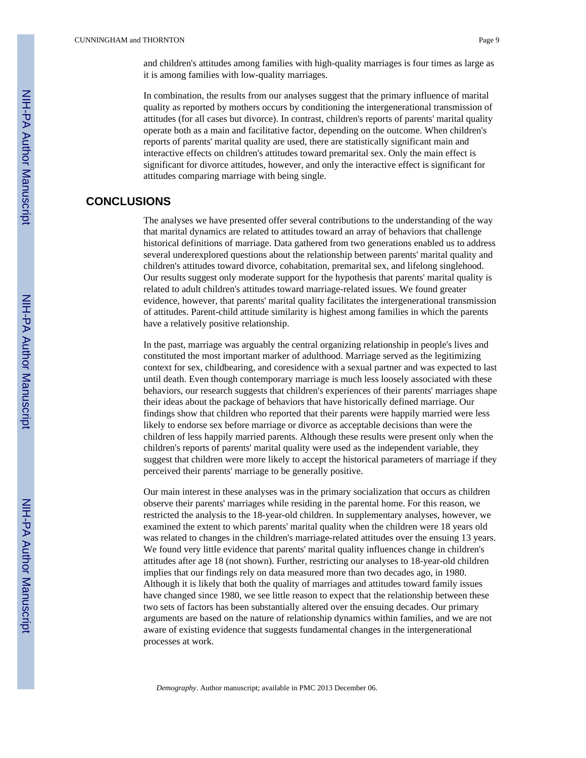and children's attitudes among families with high-quality marriages is four times as large as it is among families with low-quality marriages.

In combination, the results from our analyses suggest that the primary influence of marital quality as reported by mothers occurs by conditioning the intergenerational transmission of attitudes (for all cases but divorce). In contrast, children's reports of parents' marital quality operate both as a main and facilitative factor, depending on the outcome. When children's reports of parents' marital quality are used, there are statistically significant main and interactive effects on children's attitudes toward premarital sex. Only the main effect is significant for divorce attitudes, however, and only the interactive effect is significant for attitudes comparing marriage with being single.

## **CONCLUSIONS**

The analyses we have presented offer several contributions to the understanding of the way that marital dynamics are related to attitudes toward an array of behaviors that challenge historical definitions of marriage. Data gathered from two generations enabled us to address several underexplored questions about the relationship between parents' marital quality and children's attitudes toward divorce, cohabitation, premarital sex, and lifelong singlehood. Our results suggest only moderate support for the hypothesis that parents' marital quality is related to adult children's attitudes toward marriage-related issues. We found greater evidence, however, that parents' marital quality facilitates the intergenerational transmission of attitudes. Parent-child attitude similarity is highest among families in which the parents have a relatively positive relationship.

In the past, marriage was arguably the central organizing relationship in people's lives and constituted the most important marker of adulthood. Marriage served as the legitimizing context for sex, childbearing, and coresidence with a sexual partner and was expected to last until death. Even though contemporary marriage is much less loosely associated with these behaviors, our research suggests that children's experiences of their parents' marriages shape their ideas about the package of behaviors that have historically defined marriage. Our findings show that children who reported that their parents were happily married were less likely to endorse sex before marriage or divorce as acceptable decisions than were the children of less happily married parents. Although these results were present only when the children's reports of parents' marital quality were used as the independent variable, they suggest that children were more likely to accept the historical parameters of marriage if they perceived their parents' marriage to be generally positive.

Our main interest in these analyses was in the primary socialization that occurs as children observe their parents' marriages while residing in the parental home. For this reason, we restricted the analysis to the 18-year-old children. In supplementary analyses, however, we examined the extent to which parents' marital quality when the children were 18 years old was related to changes in the children's marriage-related attitudes over the ensuing 13 years. We found very little evidence that parents' marital quality influences change in children's attitudes after age 18 (not shown). Further, restricting our analyses to 18-year-old children implies that our findings rely on data measured more than two decades ago, in 1980. Although it is likely that both the quality of marriages and attitudes toward family issues have changed since 1980, we see little reason to expect that the relationship between these two sets of factors has been substantially altered over the ensuing decades. Our primary arguments are based on the nature of relationship dynamics within families, and we are not aware of existing evidence that suggests fundamental changes in the intergenerational processes at work.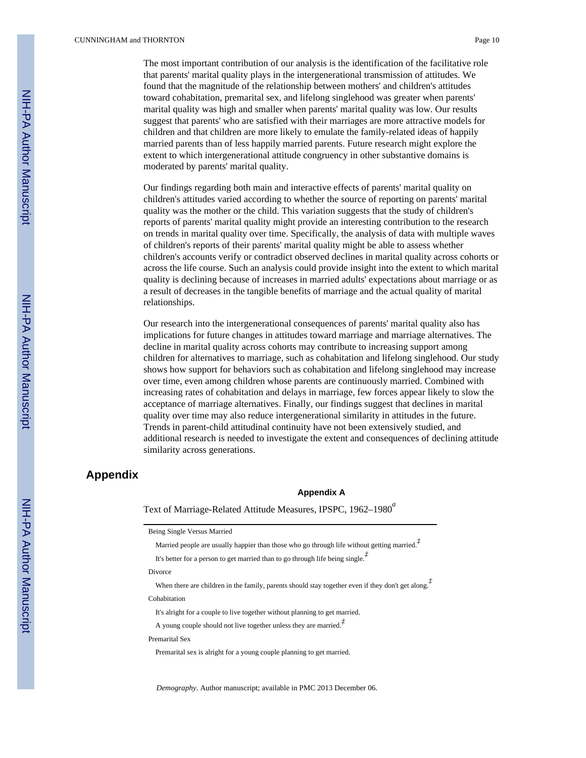The most important contribution of our analysis is the identification of the facilitative role that parents' marital quality plays in the intergenerational transmission of attitudes. We found that the magnitude of the relationship between mothers' and children's attitudes toward cohabitation, premarital sex, and lifelong singlehood was greater when parents' marital quality was high and smaller when parents' marital quality was low. Our results suggest that parents' who are satisfied with their marriages are more attractive models for children and that children are more likely to emulate the family-related ideas of happily married parents than of less happily married parents. Future research might explore the extent to which intergenerational attitude congruency in other substantive domains is moderated by parents' marital quality.

Our findings regarding both main and interactive effects of parents' marital quality on children's attitudes varied according to whether the source of reporting on parents' marital quality was the mother or the child. This variation suggests that the study of children's reports of parents' marital quality might provide an interesting contribution to the research on trends in marital quality over time. Specifically, the analysis of data with multiple waves of children's reports of their parents' marital quality might be able to assess whether children's accounts verify or contradict observed declines in marital quality across cohorts or across the life course. Such an analysis could provide insight into the extent to which marital quality is declining because of increases in married adults' expectations about marriage or as a result of decreases in the tangible benefits of marriage and the actual quality of marital relationships.

Our research into the intergenerational consequences of parents' marital quality also has implications for future changes in attitudes toward marriage and marriage alternatives. The decline in marital quality across cohorts may contribute to increasing support among children for alternatives to marriage, such as cohabitation and lifelong singlehood. Our study shows how support for behaviors such as cohabitation and lifelong singlehood may increase over time, even among children whose parents are continuously married. Combined with increasing rates of cohabitation and delays in marriage, few forces appear likely to slow the acceptance of marriage alternatives. Finally, our findings suggest that declines in marital quality over time may also reduce intergenerational similarity in attitudes in the future. Trends in parent-child attitudinal continuity have not been extensively studied, and additional research is needed to investigate the extent and consequences of declining attitude similarity across generations.

## **Appendix**

#### **Appendix A**

Text of Marriage-Related Attitude Measures, IPSPC, 1962–1980<sup>a</sup>

| Being Single Versus Married                                                                                                       |
|-----------------------------------------------------------------------------------------------------------------------------------|
| Married people are usually happier than those who go through life without getting married. <sup><math>\bar{f}</math></sup>        |
| It's better for a person to get married than to go through life being single. <sup><math>\vec{f}</math></sup>                     |
| Divorce                                                                                                                           |
| When there are children in the family, parents should stay together even if they don't get along. <sup><math>\dot{t}</math></sup> |
| Cohabitation                                                                                                                      |
| It's alright for a couple to live together without planning to get married.                                                       |
| A young couple should not live together unless they are married. <sup><math>\bar{f}</math></sup>                                  |
| Premarital Sex                                                                                                                    |
| Premarital sex is alright for a young couple planning to get married.                                                             |
|                                                                                                                                   |
|                                                                                                                                   |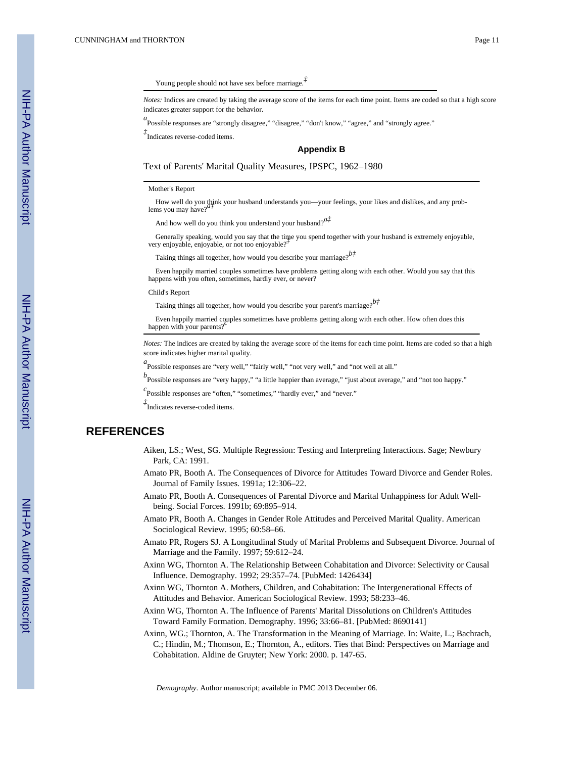### Young people should not have sex before marriage.*‡*

*Notes:* Indices are created by taking the average score of the items for each time point. Items are coded so that a high score indicates greater support for the behavior.

a<br>Possible responses are "strongly disagree," "disagree," "don't know," "agree," and "strongly agree."

*‡* Indicates reverse-coded items.

#### **Appendix B**

Text of Parents' Marital Quality Measures, IPSPC, 1962–1980

#### Mother's Report

How well do you think your husband understands you-your feelings, your likes and dislikes, and any problems you may have?<sup>*p*</sup>

And how well do you think you understand your husband?*a‡*

 Generally speaking, would you say that the time you spend together with your husband is extremely enjoyable, very enjoyable, enjoyable, or not too enjoyable?*‡*

Taking things all together, how would you describe your marriage?*b‡*

 Even happily married couples sometimes have problems getting along with each other. Would you say that this happens with you often, sometimes, hardly ever, or never?

#### Child's Report

Taking things all together, how would you describe your parent's marriage?*b‡*

 Even happily married couples sometimes have problems getting along with each other. How often does this happen with your parents?<sup>*p*</sup>

*Notes:* The indices are created by taking the average score of the items for each time point. Items are coded so that a high score indicates higher marital quality.

*a*<br>
Possible responses are "very well," "fairly well," "not very well," and "not well at all."

*b* Possible responses are "very happy," "a little happier than average," "just about average," and "not too happy."

*c* Possible responses are "often," "sometimes," "hardly ever," and "never."

*‡* Indicates reverse-coded items.

## **REFERENCES**

- Aiken, LS.; West, SG. Multiple Regression: Testing and Interpreting Interactions. Sage; Newbury Park, CA: 1991.
- Amato PR, Booth A. The Consequences of Divorce for Attitudes Toward Divorce and Gender Roles. Journal of Family Issues. 1991a; 12:306–22.
- Amato PR, Booth A. Consequences of Parental Divorce and Marital Unhappiness for Adult Wellbeing. Social Forces. 1991b; 69:895–914.
- Amato PR, Booth A. Changes in Gender Role Attitudes and Perceived Marital Quality. American Sociological Review. 1995; 60:58–66.
- Amato PR, Rogers SJ. A Longitudinal Study of Marital Problems and Subsequent Divorce. Journal of Marriage and the Family. 1997; 59:612–24.
- Axinn WG, Thornton A. The Relationship Between Cohabitation and Divorce: Selectivity or Causal Influence. Demography. 1992; 29:357–74. [PubMed: 1426434]
- Axinn WG, Thornton A. Mothers, Children, and Cohabitation: The Intergenerational Effects of Attitudes and Behavior. American Sociological Review. 1993; 58:233–46.
- Axinn WG, Thornton A. The Influence of Parents' Marital Dissolutions on Children's Attitudes Toward Family Formation. Demography. 1996; 33:66–81. [PubMed: 8690141]
- Axinn, WG.; Thornton, A. The Transformation in the Meaning of Marriage. In: Waite, L.; Bachrach, C.; Hindin, M.; Thomson, E.; Thornton, A., editors. Ties that Bind: Perspectives on Marriage and Cohabitation. Aldine de Gruyter; New York: 2000. p. 147-65.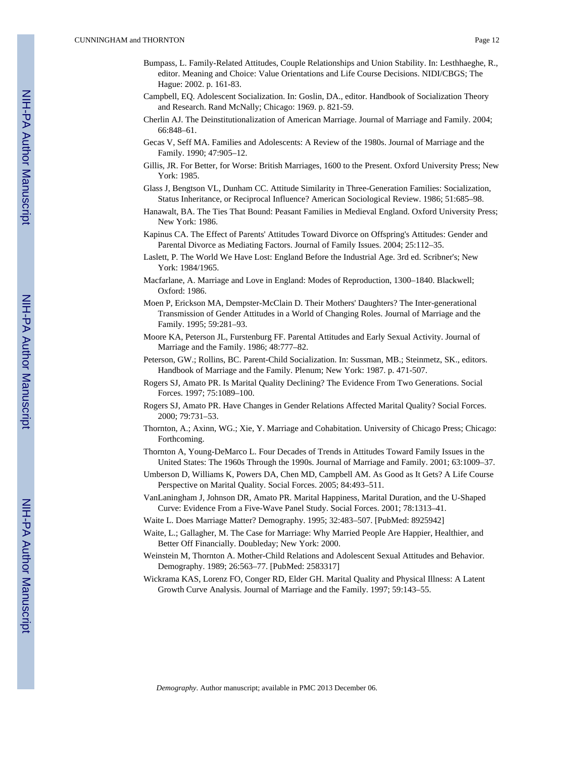- Bumpass, L. Family-Related Attitudes, Couple Relationships and Union Stability. In: Lesthhaeghe, R., editor. Meaning and Choice: Value Orientations and Life Course Decisions. NIDI/CBGS; The Hague: 2002. p. 161-83.
- Campbell, EQ. Adolescent Socialization. In: Goslin, DA., editor. Handbook of Socialization Theory and Research. Rand McNally; Chicago: 1969. p. 821-59.
- Cherlin AJ. The Deinstitutionalization of American Marriage. Journal of Marriage and Family. 2004; 66:848–61.
- Gecas V, Seff MA. Families and Adolescents: A Review of the 1980s. Journal of Marriage and the Family. 1990; 47:905–12.
- Gillis, JR. For Better, for Worse: British Marriages, 1600 to the Present. Oxford University Press; New York: 1985.
- Glass J, Bengtson VL, Dunham CC. Attitude Similarity in Three-Generation Families: Socialization, Status Inheritance, or Reciprocal Influence? American Sociological Review. 1986; 51:685–98.
- Hanawalt, BA. The Ties That Bound: Peasant Families in Medieval England. Oxford University Press; New York: 1986.
- Kapinus CA. The Effect of Parents' Attitudes Toward Divorce on Offspring's Attitudes: Gender and Parental Divorce as Mediating Factors. Journal of Family Issues. 2004; 25:112–35.
- Laslett, P. The World We Have Lost: England Before the Industrial Age. 3rd ed. Scribner's; New York: 1984/1965.
- Macfarlane, A. Marriage and Love in England: Modes of Reproduction, 1300–1840. Blackwell; Oxford: 1986.
- Moen P, Erickson MA, Dempster-McClain D. Their Mothers' Daughters? The Inter-generational Transmission of Gender Attitudes in a World of Changing Roles. Journal of Marriage and the Family. 1995; 59:281–93.
- Moore KA, Peterson JL, Furstenburg FF. Parental Attitudes and Early Sexual Activity. Journal of Marriage and the Family. 1986; 48:777–82.
- Peterson, GW.; Rollins, BC. Parent-Child Socialization. In: Sussman, MB.; Steinmetz, SK., editors. Handbook of Marriage and the Family. Plenum; New York: 1987. p. 471-507.
- Rogers SJ, Amato PR. Is Marital Quality Declining? The Evidence From Two Generations. Social Forces. 1997; 75:1089–100.
- Rogers SJ, Amato PR. Have Changes in Gender Relations Affected Marital Quality? Social Forces. 2000; 79:731–53.
- Thornton, A.; Axinn, WG.; Xie, Y. Marriage and Cohabitation. University of Chicago Press; Chicago: Forthcoming.
- Thornton A, Young-DeMarco L. Four Decades of Trends in Attitudes Toward Family Issues in the United States: The 1960s Through the 1990s. Journal of Marriage and Family. 2001; 63:1009–37.
- Umberson D, Williams K, Powers DA, Chen MD, Campbell AM. As Good as It Gets? A Life Course Perspective on Marital Quality. Social Forces. 2005; 84:493–511.
- VanLaningham J, Johnson DR, Amato PR. Marital Happiness, Marital Duration, and the U-Shaped Curve: Evidence From a Five-Wave Panel Study. Social Forces. 2001; 78:1313–41.
- Waite L. Does Marriage Matter? Demography. 1995; 32:483–507. [PubMed: 8925942]
- Waite, L.; Gallagher, M. The Case for Marriage: Why Married People Are Happier, Healthier, and Better Off Financially. Doubleday; New York: 2000.
- Weinstein M, Thornton A. Mother-Child Relations and Adolescent Sexual Attitudes and Behavior. Demography. 1989; 26:563–77. [PubMed: 2583317]
- Wickrama KAS, Lorenz FO, Conger RD, Elder GH. Marital Quality and Physical Illness: A Latent Growth Curve Analysis. Journal of Marriage and the Family. 1997; 59:143–55.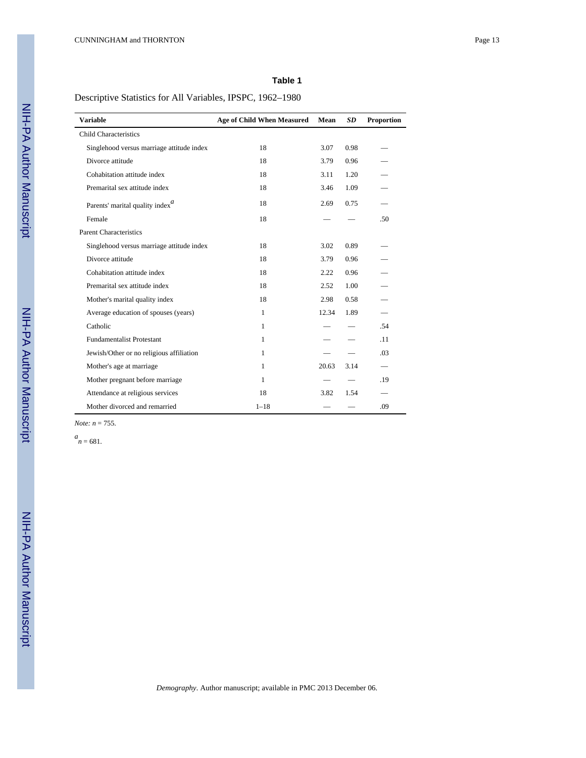Descriptive Statistics for All Variables, IPSPC, 1962–1980

| <b>Variable</b>                           | <b>Age of Child When Measured</b> | Mean  | SD.  | <b>Proportion</b> |
|-------------------------------------------|-----------------------------------|-------|------|-------------------|
| <b>Child Characteristics</b>              |                                   |       |      |                   |
| Singlehood versus marriage attitude index | 18                                | 3.07  | 0.98 |                   |
| Divorce attitude                          | 18                                | 3.79  | 0.96 |                   |
| Cohabitation attitude index               | 18                                | 3.11  | 1.20 |                   |
| Premarital sex attitude index             | 18                                | 3.46  | 1.09 |                   |
| Parents' marital quality index $^a$       | 18                                | 2.69  | 0.75 |                   |
| Female                                    | 18                                |       |      | .50               |
| <b>Parent Characteristics</b>             |                                   |       |      |                   |
| Singlehood versus marriage attitude index | 18                                | 3.02  | 0.89 |                   |
| Divorce attitude                          | 18                                | 3.79  | 0.96 |                   |
| Cohabitation attitude index               | 18                                | 2.22  | 0.96 |                   |
| Premarital sex attitude index             | 18                                | 2.52  | 1.00 |                   |
| Mother's marital quality index            | 18                                | 2.98  | 0.58 |                   |
| Average education of spouses (years)      | 1                                 | 12.34 | 1.89 |                   |
| Catholic                                  | 1                                 |       |      | .54               |
| <b>Fundamentalist Protestant</b>          | 1                                 |       |      | .11               |
| Jewish/Other or no religious affiliation  | 1                                 |       |      | .03               |
| Mother's age at marriage                  | 1                                 | 20.63 | 3.14 |                   |
| Mother pregnant before marriage           | 1                                 |       |      | .19               |
| Attendance at religious services          | 18                                | 3.82  | 1.54 |                   |
| Mother divorced and remarried             | $1 - 18$                          |       |      | .09               |

*Note: n* = 755.

 $a_n = 681$ .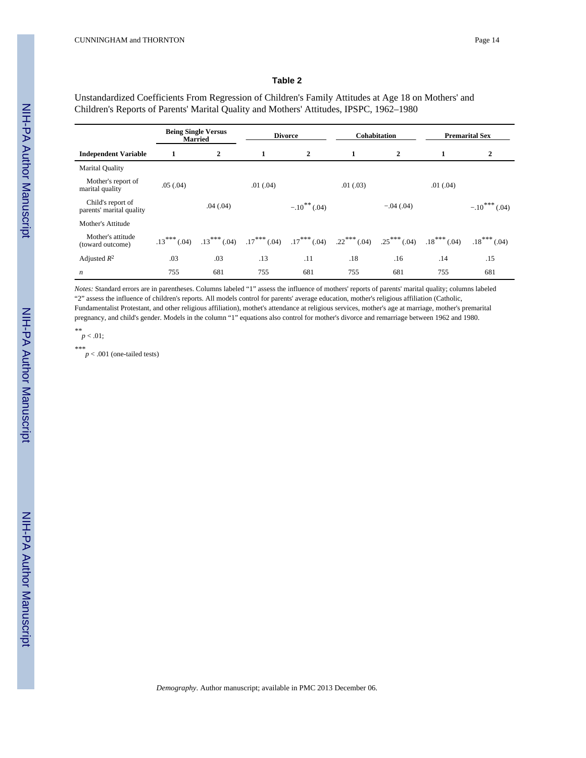Unstandardized Coefficients From Regression of Children's Family Attitudes at Age 18 on Mothers' and Children's Reports of Parents' Marital Quality and Mothers' Attitudes, IPSPC, 1962–1980

|                                               |               | <b>Being Single Versus</b><br><b>Married</b> | <b>Divorce</b> |                  | <b>Cohabitation</b> |                | <b>Premarital Sex</b> |                    |
|-----------------------------------------------|---------------|----------------------------------------------|----------------|------------------|---------------------|----------------|-----------------------|--------------------|
| <b>Independent Variable</b>                   | 1             | 2                                            | $\mathbf{1}$   | $\overline{2}$   | $\mathbf{1}$        | $\overline{2}$ | 1                     | 2                  |
| Marital Quality                               |               |                                              |                |                  |                     |                |                       |                    |
| Mother's report of<br>marital quality         | .05(.04)      |                                              | .01(.04)       |                  | .01(.03)            |                | .01(.04)              |                    |
| Child's report of<br>parents' marital quality |               | .04(.04)                                     |                | $-.10^{**}(.04)$ |                     | $-.04(.04)$    |                       | $-.10***$<br>(.04) |
| Mother's Attitude                             |               |                                              |                |                  |                     |                |                       |                    |
| Mother's attitude<br>(toward outcome)         | $.13***(.04)$ | $.13***(04)$                                 | $.17***$ (.04) | $.17***$ (.04)   | $.22$ *** (.04)     | $.25***$ (.04) | $.18***(04)$          | $.18***(.04)$      |
| Adjusted $R^2$                                | .03           | .03                                          | .13            | .11              | .18                 | .16            | .14                   | .15                |
| $\boldsymbol{n}$                              | 755           | 681                                          | 755            | 681              | 755                 | 681            | 755                   | 681                |

*Notes:* Standard errors are in parentheses. Columns labeled "1" assess the influence of mothers' reports of parents' marital quality; columns labeled "2" assess the influence of children's reports. All models control for parents' average education, mother's religious affiliation (Catholic, Fundamentalist Protestant, and other religious affiliation), mothet's attendance at religious services, mother's age at marriage, mother's premarital pregnancy, and child's gender. Models in the column "1" equations also control for mother's divorce and remarriage between 1962 and 1980.

*\*\**  $p < .01;$ 

*\*\*\* p* < .001 (one-tailed tests)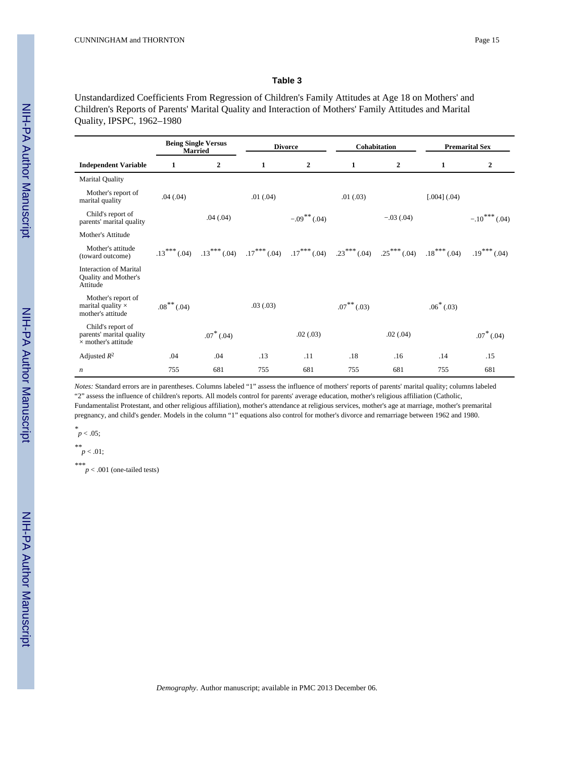Unstandardized Coefficients From Regression of Children's Family Attitudes at Age 18 on Mothers' and Children's Reports of Parents' Marital Quality and Interaction of Mothers' Family Attitudes and Marital Quality, IPSPC, 1962–1980

|                                                                             |                  | <b>Being Single Versus</b><br><b>Married</b> | <b>Divorce</b><br>Cohabitation |                                                             | <b>Premarital Sex</b> |                |                  |                 |
|-----------------------------------------------------------------------------|------------------|----------------------------------------------|--------------------------------|-------------------------------------------------------------|-----------------------|----------------|------------------|-----------------|
| <b>Independent Variable</b>                                                 | 1                | 2                                            | 1                              | $\boldsymbol{2}$                                            | 1                     | 2              | 1                | 2               |
| <b>Marital Quality</b>                                                      |                  |                                              |                                |                                                             |                       |                |                  |                 |
| Mother's report of<br>marital quality                                       | .04(.04)         |                                              | .01(.04)                       |                                                             | .01(.03)              |                | $[.004]$ $(.04)$ |                 |
| Child's report of<br>parents' marital quality                               |                  | .04(.04)                                     |                                | $-.09***(04)$                                               |                       | $-.03(.04)$    |                  | $-.10***$ (.04) |
| Mother's Attitude                                                           |                  |                                              |                                |                                                             |                       |                |                  |                 |
| Mother's attitude<br>(toward outcome)                                       | $.13***(.04)$    |                                              |                                | $.13***$ (.04) $.17***$ (.04) $.17***$ (.04) $.23***$ (.04) |                       | $.25***(0.04)$ | $.18***$ (.04)   | $.19***(.04)$   |
| <b>Interaction of Marital</b><br>Quality and Mother's<br>Attitude           |                  |                                              |                                |                                                             |                       |                |                  |                 |
| Mother's report of<br>marital quality $\times$<br>mother's attitude         | $.08***$ $(.04)$ |                                              | .03(0.03)                      |                                                             | $.07***$ $(.03)$      |                | $.06*(.03)$      |                 |
| Child's report of<br>parents' marital quality<br>$\times$ mother's attitude |                  | $.07^*$ (.04)                                |                                | .02(.03)                                                    |                       | .02(.04)       |                  | $.07^*$ (.04)   |
| Adjusted $R^2$                                                              | .04              | .04                                          | .13                            | .11                                                         | .18                   | .16            | .14              | .15             |
| n                                                                           | 755              | 681                                          | 755                            | 681                                                         | 755                   | 681            | 755              | 681             |

*Notes:* Standard errors are in parentheses. Columns labeled "1" assess the influence of mothers' reports of parents' marital quality; columns labeled "2" assess the influence of children's reports. All models control for parents' average education, mother's religious affiliation (Catholic, Fundamentalist Protestant, and other religious affiliation), mother's attendance at religious services, mother's age at marriage, mother's premarital pregnancy, and child's gender. Models in the column "1" equations also control for mother's divorce and remarriage between 1962 and 1980.

*\* p* < .05;

$$
\stackrel{**}{p} < .01;
$$

*\*\*\**  $p < .001$  (one-tailed tests)